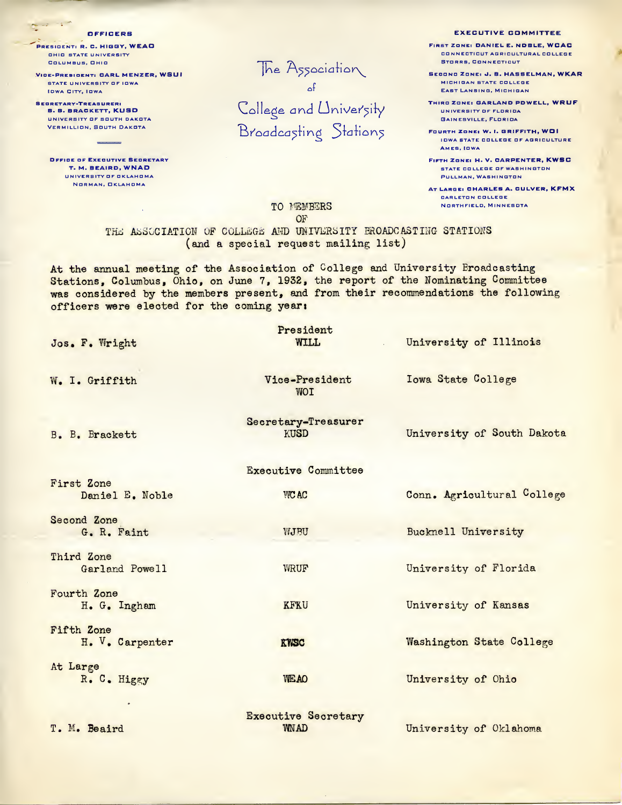PRESIDENT: R. C. HIGGY, WEAD **OHIO STATE UNIVERSITY** COLUMBUS, OHIO

 $\sum_{i=1}^n\frac{1}{\|x_i\|^2}=\frac{1}{\|x_i\|^2}=\frac{1}{\|x_i\|^2}.$ 

VICE-PRESIDENT: CARL MENZER, WSUI STATE UNIVERSITY OF IOWA OF THE UNIVERSITY OF IOWA OF THE UNIVERSITY OF IOWA OF THE UNIVERSITY OF THE UNIVERSITY OF THE UNIVERSITY OF THE UNIVERSITY OF THE UNIVERSITY OF THE UNIVERSITY OF THE UNIVERSITY OF THE UNIVERSITY O

SECRETARY-TREASURER: B. B. BRACKETT, KU5D UNIVERSITY OF SOUTH DAKOTA Vermillion, South Dakota

Office of Executive Secretary T. M. BEAIRD, WNAD UNIVERSITY OF OKLAHOMA Norman, Oklahoma

The Association

College and University Broadcasting Stations

OFFICERS EXECUTIVE COMMITTEE

FIRST ZONE: DANIEL E. NOBLE, WCAC CONNECTICUT AGRICULTURAL COLLEGE Storrs, Connecticut

Second Zdne: d. B. HA5SELMAN, WKAR MICHIGAN STATE COLLEGE EAST LANSING, MICHIGAN

THIRD ZONE: GARLAND POWELL, WRUF UNIVERSITY OF FLORIDA<br>GAINESVILLE, FLORIDA

Fourth Zone: W. 1. GRIFFITH, WOI IOWA STATE COLLEGE OF AGRICULTURE AMES, IOWA

Fifth Zone: H. V. CARPENTER, KWSC STATE COLLEGE OF WASHINGTON PULLMAN, WASHINGTON

AT Large: CHARLES A. CULVER, KFM X CARLETON COLLEGE TO MEMBERS NORTHFIELD, MINNESOTA

OF

THE ASSOCIATION OF COLLEGE AND UNIVERSITY BROADCASTING STATIONS (and a special request mailing list)

At the annual meeting of the Association of College and University Broadcasting Stations, Columbus, Ohio, on June 7, 1932, the report of the Nominating Committee was considered by the members present, and from their recommendations the following officers were elected for the coming yeari

| Jos. F. Wright                | President<br>WILL.                        | University of Illinois     |
|-------------------------------|-------------------------------------------|----------------------------|
| W. I. Griffith                | Vice-President<br><b>WOT</b>              | <b>Iowa State College</b>  |
| B. B. Brackett                | Secretary-Treasurer<br>KUSD               | University of South Dakota |
|                               | <b>Executive Committee</b>                |                            |
| First Zone<br>Daniel E. Noble | <b>WCAC</b>                               | Conn. Agricultural College |
| Second Zone<br>G. R. Faint    | WJBU                                      | Bucknell University        |
| Third Zone<br>Garland Powell  | <b>WRUF</b>                               | University of Florida      |
| Fourth Zone<br>H. G. Ingham   | <b>KFKU</b>                               | University of Kansas       |
| Fifth Zone<br>H. V. Carpenter | <b>KYISC</b>                              | Washington State College   |
| At Large<br>R. C. Higgy       | <b>WE AO</b>                              | University of Ohio         |
| T. M. Beaird                  | <b>Executive Secretary</b><br><b>WNAD</b> | University of Oklahoma     |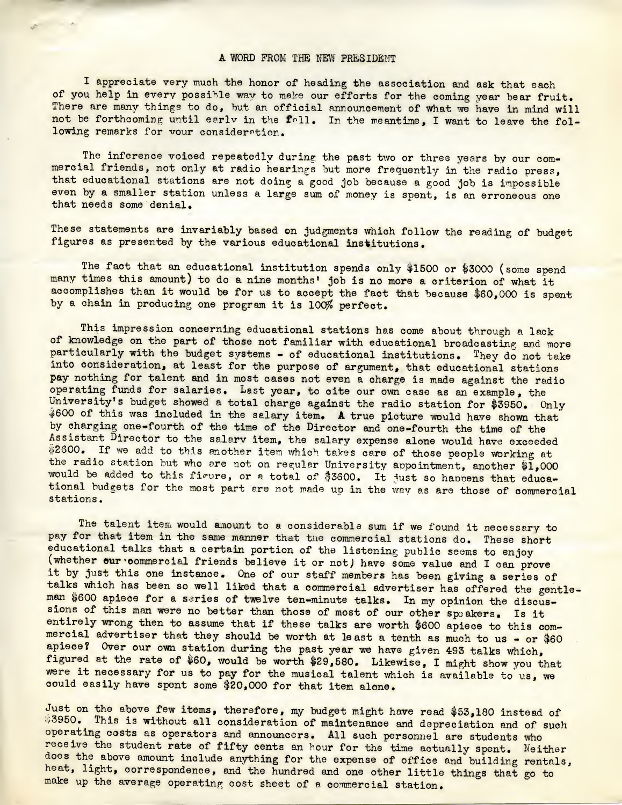## A WORD FROM THE NEW PRESIDENT

I appreciate very much the honor of heading the association and ask that each of you help in every possible way to make our efforts for the coming year bear fruit. There are many things to do, but an official announcement of what we have in mind will not be forthcoming until early in the fall. In the meantime, I want to leave the following remarks for vour consideration.

The inference voiced repeatedly during the past two or three years by our commercial friends, not only at radio hearings but more frequently in the radio press, that educational stations are not doing a good job because a good job is impossible even by a smaller station unless a large sum of money is spent, is an erroneous one that needs some denial.

These statements are invariably based on judgments which follow the reading of budget figures as presented by the various educational institutions.

The fact that an educational institution spends only \$1500 or \$3000 (some spend many times this amount) to do a nine months' job is no more a criterion of what it accomplishes than it would be for us to accept the fact that because \$60,000 is spent by a chain in producing one program it is 100% perfect.

This impression concerning educational stations has come about through a lack of knowledge on the part of those not familiar with educational broadcasting and more particularly with the budget systems - of educational institutions. They do not take into consideration, at least for the purpose of argument, that educational stations pay nothing for talent and in most cases not even a charge is made against the radio operating funds for salaries. Last year, to cite our own case as an example, the University's budget showed a total charge against the radio station for \$3950. Only  $$600$  of this was included in the salary item. A true picture would have shown that by charging one-fourth of the time of the Director and one-fourth the time of the Assistant Director to the salary item, the salary expense alone would have exceeded \$2600. If we add to this another item which takes care of those people working at the radio station but who are not on regular University appointment, another \$1,000 would be added to this figure, or a total of \$3600. It just so happens that educational budgets for the most part are not made up in the way as are those of commercial stations.

The talent item would amount to a considerable sum if we found it necessary to pay for that item in the same manner that the commercial stations do. These short educational talks that a certain portion of the listening public seems to enjoy (whether our commercial friends believe it or not) have some value and I can prove it by just this one instance. One of our staff members has been giving a series of talks which has been so well liked that a commercial advertiser has offered the gentleman \$600 apiece for a series of twelve ten-minute talks. In my opinion the discussions of this man were no better than those of most of our other speakers. Is it entirely wrong then to assume that if these talks are worth \$600 apiece to this commercial advertiser that they should be worth at least a tenth as much to us - or \$60 apiece? Over our own station during the past year we have given 493 talks which, figured at the rate of \$60, would be worth \$29,580. Likewise, I might show you that were it necessary for us to pay for the musical talent which is available to us, we could easily have spent some \$20,000 for that item alone.

Just on the above few items, therefore, my budget might have read \$53,180 instead of \$3950. This is without all consideration of maintenance and depreciation and of such operating costs as operators and announcers. All such personnel are students who receive the student rate of fifty cents an hour for the time actually spent. Neither does the above amount include anything for the expense of office and building rentals, heat, light, correspondence, and the hundred and one other little things that go to make up the average operating cost sheet of a commercial station.